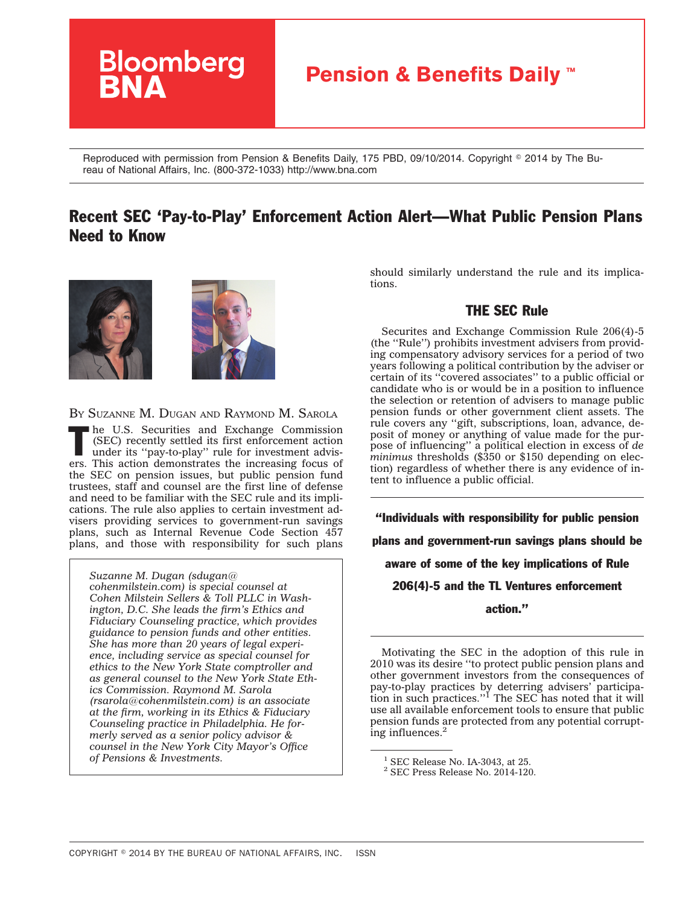

Reproduced with permission from Pension & Benefits Daily, 175 PBD, 09/10/2014. Copyright © 2014 by The Bureau of National Affairs, Inc. (800-372-1033) http://www.bna.com

# Recent SEC 'Pay-to-Play' Enforcement Action Alert—What Public Pension Plans Need to Know



BY SUZANNE M. DUGAN AND RAYMOND M. SAROLA

The U.S. Securities and Exchange Commission<br>
(SEC) recently settled its first enforcement action<br>
under its "pay-to-play" rule for investment advis-<br>
This can be the composition of the composition (SEC) recently settled its first enforcement action ers. This action demonstrates the increasing focus of the SEC on pension issues, but public pension fund trustees, staff and counsel are the first line of defense and need to be familiar with the SEC rule and its implications. The rule also applies to certain investment advisers providing services to government-run savings plans, such as Internal Revenue Code Section 457 plans, and those with responsibility for such plans

*Suzanne M. Dugan [\(sdugan@](mailto:sdugan@cohenmilstein.com) [cohenmilstein.com\)](mailto:sdugan@cohenmilstein.com) is special counsel at Cohen Milstein Sellers & Toll PLLC in Washington, D.C. She leads the firm's Ethics and Fiduciary Counseling practice, which provides guidance to pension funds and other entities. She has more than 20 years of legal experience, including service as special counsel for ethics to the New York State comptroller and as general counsel to the New York State Ethics Commission. Raymond M. Sarola [\(rsarola@cohenmilstein.com\)](mailto:rsarola@cohenmilstein.com) is an associate at the firm, working in its Ethics & Fiduciary Counseling practice in Philadelphia. He formerly served as a senior policy advisor & counsel in the New York City Mayor's Office of Pensions & Investments.*

should similarly understand the rule and its implications.

## THE SEC Rule

Securites and Exchange Commission Rule 206(4)-5 (the ''Rule'') prohibits investment advisers from providing compensatory advisory services for a period of two years following a political contribution by the adviser or certain of its ''covered associates'' to a public official or candidate who is or would be in a position to influence the selection or retention of advisers to manage public pension funds or other government client assets. The rule covers any ''gift, subscriptions, loan, advance, deposit of money or anything of value made for the purpose of influencing'' a political election in excess of *de minimus* thresholds (\$350 or \$150 depending on election) regardless of whether there is any evidence of intent to influence a public official.

''Individuals with responsibility for public pension plans and government-run savings plans should be aware of some of the key implications of Rule 206(4)-5 and the TL Ventures enforcement action.''

Motivating the SEC in the adoption of this rule in 2010 was its desire ''to protect public pension plans and other government investors from the consequences of pay-to-play practices by deterring advisers' participa-tion in such practices.''1 The SEC has noted that it will use all available enforcement tools to ensure that public pension funds are protected from any potential corrupting influences.<sup>2</sup>

 $1$  SEC Release No. IA-3043, at 25.

<sup>2</sup> SEC Press Release No. 2014-120.